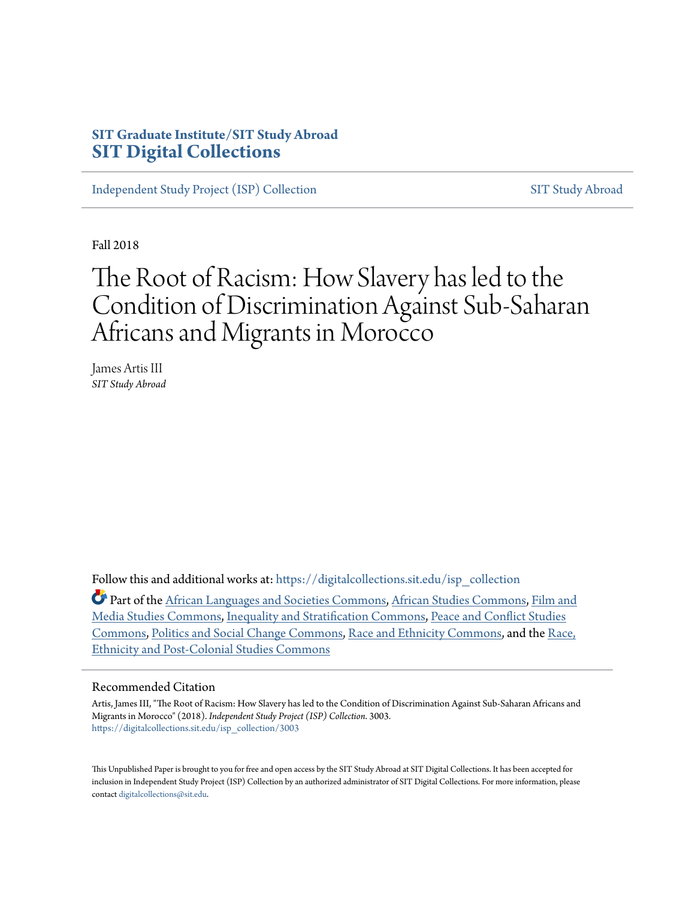# **SIT Graduate Institute/SIT Study Abroad [SIT Digital Collections](https://digitalcollections.sit.edu?utm_source=digitalcollections.sit.edu%2Fisp_collection%2F3003&utm_medium=PDF&utm_campaign=PDFCoverPages)**

[Independent Study Project \(ISP\) Collection](https://digitalcollections.sit.edu/isp_collection?utm_source=digitalcollections.sit.edu%2Fisp_collection%2F3003&utm_medium=PDF&utm_campaign=PDFCoverPages) [SIT Study Abroad](https://digitalcollections.sit.edu/study_abroad?utm_source=digitalcollections.sit.edu%2Fisp_collection%2F3003&utm_medium=PDF&utm_campaign=PDFCoverPages)

Fall 2018

# The Root of Racism: How Slavery has led to the Condition of Discrimination Against Sub-Saharan Africans and Migrants in Morocco

James Artis III *SIT Study Abroad*

Follow this and additional works at: [https://digitalcollections.sit.edu/isp\\_collection](https://digitalcollections.sit.edu/isp_collection?utm_source=digitalcollections.sit.edu%2Fisp_collection%2F3003&utm_medium=PDF&utm_campaign=PDFCoverPages)

Part of the [African Languages and Societies Commons](http://network.bepress.com/hgg/discipline/476?utm_source=digitalcollections.sit.edu%2Fisp_collection%2F3003&utm_medium=PDF&utm_campaign=PDFCoverPages), [African Studies Commons,](http://network.bepress.com/hgg/discipline/1043?utm_source=digitalcollections.sit.edu%2Fisp_collection%2F3003&utm_medium=PDF&utm_campaign=PDFCoverPages) [Film and](http://network.bepress.com/hgg/discipline/563?utm_source=digitalcollections.sit.edu%2Fisp_collection%2F3003&utm_medium=PDF&utm_campaign=PDFCoverPages) [Media Studies Commons](http://network.bepress.com/hgg/discipline/563?utm_source=digitalcollections.sit.edu%2Fisp_collection%2F3003&utm_medium=PDF&utm_campaign=PDFCoverPages), [Inequality and Stratification Commons,](http://network.bepress.com/hgg/discipline/421?utm_source=digitalcollections.sit.edu%2Fisp_collection%2F3003&utm_medium=PDF&utm_campaign=PDFCoverPages) [Peace and Conflict Studies](http://network.bepress.com/hgg/discipline/397?utm_source=digitalcollections.sit.edu%2Fisp_collection%2F3003&utm_medium=PDF&utm_campaign=PDFCoverPages) [Commons,](http://network.bepress.com/hgg/discipline/397?utm_source=digitalcollections.sit.edu%2Fisp_collection%2F3003&utm_medium=PDF&utm_campaign=PDFCoverPages) [Politics and Social Change Commons](http://network.bepress.com/hgg/discipline/425?utm_source=digitalcollections.sit.edu%2Fisp_collection%2F3003&utm_medium=PDF&utm_campaign=PDFCoverPages), [Race and Ethnicity Commons](http://network.bepress.com/hgg/discipline/426?utm_source=digitalcollections.sit.edu%2Fisp_collection%2F3003&utm_medium=PDF&utm_campaign=PDFCoverPages), and the [Race,](http://network.bepress.com/hgg/discipline/566?utm_source=digitalcollections.sit.edu%2Fisp_collection%2F3003&utm_medium=PDF&utm_campaign=PDFCoverPages) [Ethnicity and Post-Colonial Studies Commons](http://network.bepress.com/hgg/discipline/566?utm_source=digitalcollections.sit.edu%2Fisp_collection%2F3003&utm_medium=PDF&utm_campaign=PDFCoverPages)

#### Recommended Citation

Artis, James III, "The Root of Racism: How Slavery has led to the Condition of Discrimination Against Sub-Saharan Africans and Migrants in Morocco" (2018). *Independent Study Project (ISP) Collection*. 3003. [https://digitalcollections.sit.edu/isp\\_collection/3003](https://digitalcollections.sit.edu/isp_collection/3003?utm_source=digitalcollections.sit.edu%2Fisp_collection%2F3003&utm_medium=PDF&utm_campaign=PDFCoverPages)

This Unpublished Paper is brought to you for free and open access by the SIT Study Abroad at SIT Digital Collections. It has been accepted for inclusion in Independent Study Project (ISP) Collection by an authorized administrator of SIT Digital Collections. For more information, please contact [digitalcollections@sit.edu](mailto:digitalcollections@sit.edu).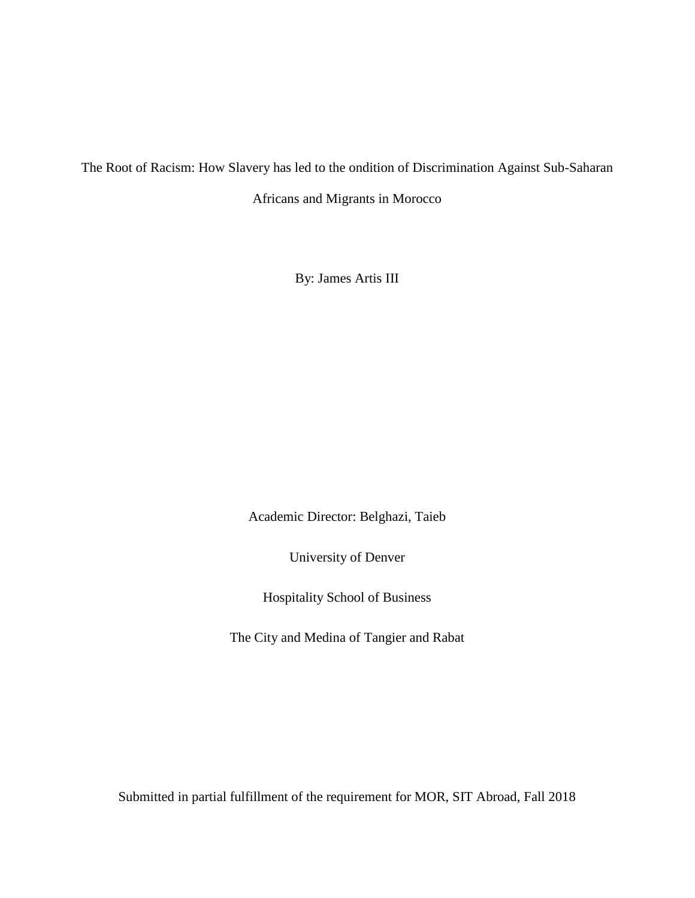The Root of Racism: How Slavery has led to the ondition of Discrimination Against Sub-Saharan

Africans and Migrants in Morocco

By: James Artis III

Academic Director: Belghazi, Taieb

University of Denver

Hospitality School of Business

The City and Medina of Tangier and Rabat

Submitted in partial fulfillment of the requirement for MOR, SIT Abroad, Fall 2018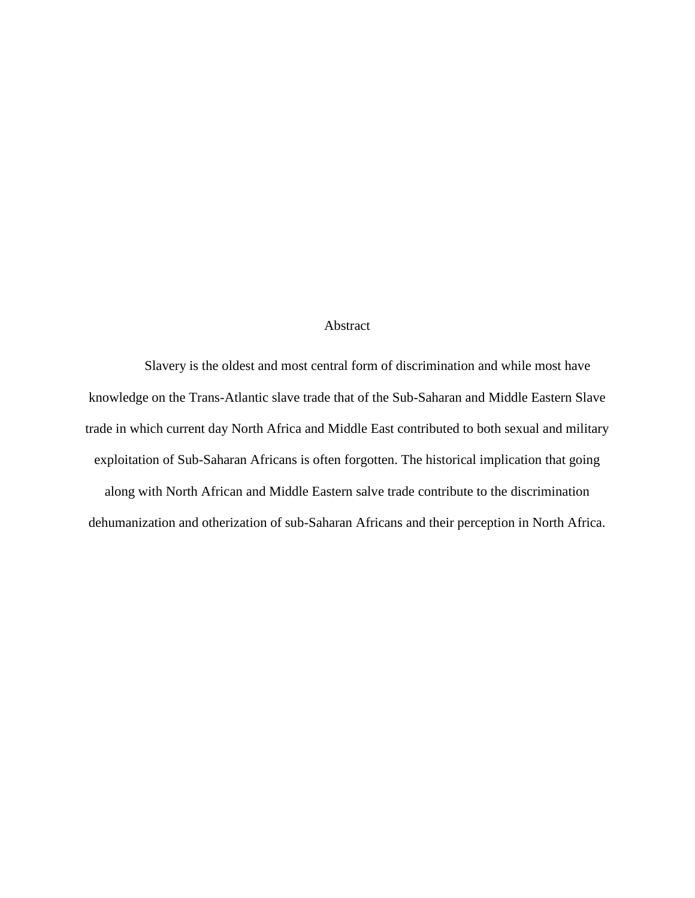# Abstract

Slavery is the oldest and most central form of discrimination and while most have knowledge on the Trans-Atlantic slave trade that of the Sub-Saharan and Middle Eastern Slave trade in which current day North Africa and Middle East contributed to both sexual and military exploitation of Sub-Saharan Africans is often forgotten. The historical implication that going along with North African and Middle Eastern salve trade contribute to the discrimination dehumanization and otherization of sub-Saharan Africans and their perception in North Africa.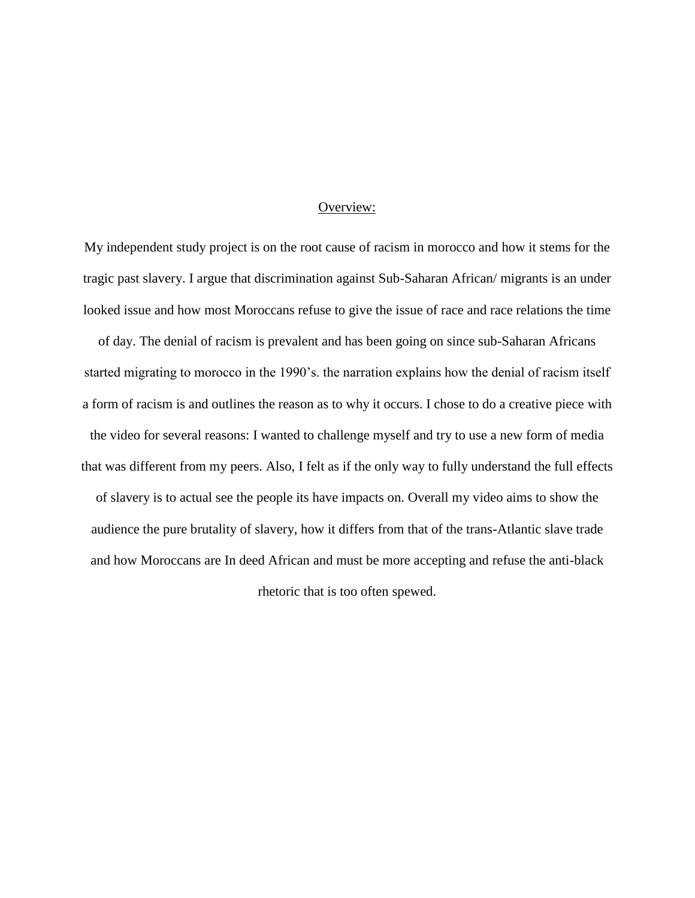#### Overview:

My independent study project is on the root cause of racism in morocco and how it stems for the tragic past slavery. I argue that discrimination against Sub-Saharan African/ migrants is an under looked issue and how most Moroccans refuse to give the issue of race and race relations the time

of day. The denial of racism is prevalent and has been going on since sub-Saharan Africans started migrating to morocco in the 1990's. the narration explains how the denial of racism itself a form of racism is and outlines the reason as to why it occurs. I chose to do a creative piece with the video for several reasons: I wanted to challenge myself and try to use a new form of media that was different from my peers. Also, I felt as if the only way to fully understand the full effects of slavery is to actual see the people its have impacts on. Overall my video aims to show the audience the pure brutality of slavery, how it differs from that of the trans-Atlantic slave trade and how Moroccans are In deed African and must be more accepting and refuse the anti-black rhetoric that is too often spewed.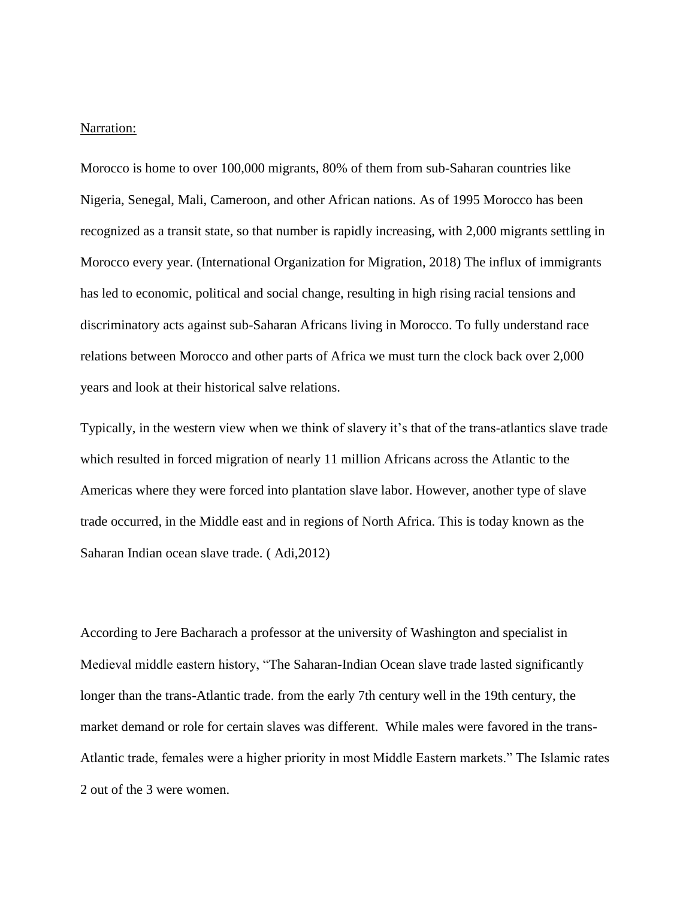#### Narration:

Morocco is home to over 100,000 migrants, 80% of them from sub-Saharan countries like Nigeria, Senegal, Mali, Cameroon, and other African nations. As of 1995 Morocco has been recognized as a transit state, so that number is rapidly increasing, with 2,000 migrants settling in Morocco every year. (International Organization for Migration, 2018) The influx of immigrants has led to economic, political and social change, resulting in high rising racial tensions and discriminatory acts against sub-Saharan Africans living in Morocco. To fully understand race relations between Morocco and other parts of Africa we must turn the clock back over 2,000 years and look at their historical salve relations.

Typically, in the western view when we think of slavery it's that of the trans-atlantics slave trade which resulted in forced migration of nearly 11 million Africans across the Atlantic to the Americas where they were forced into plantation slave labor. However, another type of slave trade occurred, in the Middle east and in regions of North Africa. This is today known as the Saharan Indian ocean slave trade. ( Adi,2012)

According to Jere Bacharach a professor at the university of Washington and specialist in Medieval middle eastern history, "The Saharan-Indian Ocean slave trade lasted significantly longer than the trans-Atlantic trade. from the early 7th century well in the 19th century, the market demand or role for certain slaves was different. While males were favored in the trans-Atlantic trade, females were a higher priority in most Middle Eastern markets." The Islamic rates 2 out of the 3 were women.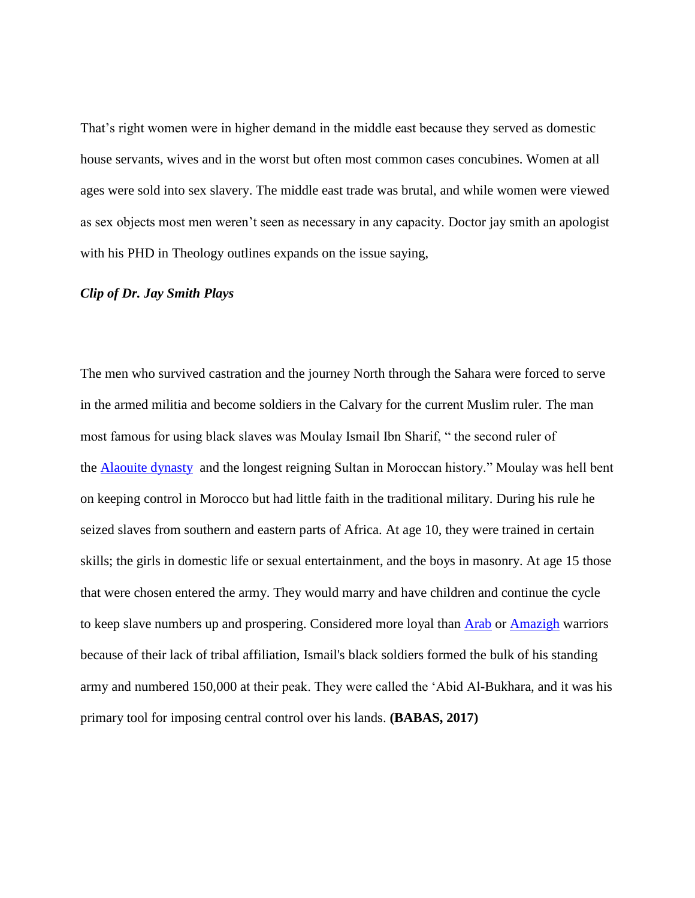That's right women were in higher demand in the middle east because they served as domestic house servants, wives and in the worst but often most common cases concubines. Women at all ages were sold into sex slavery. The middle east trade was brutal, and while women were viewed as sex objects most men weren't seen as necessary in any capacity. Doctor jay smith an apologist with his PHD in Theology outlines expands on the issue saying,

#### *Clip of Dr. Jay Smith Plays*

The men who survived castration and the journey North through the Sahara were forced to serve in the armed militia and become soldiers in the Calvary for the current Muslim ruler. The man most famous for using black slaves was Moulay Ismail Ibn Sharif, " the second ruler of the [Alaouite dynasty](http://www.wikiwand.com/en/Alaouite_dynasty) and the longest reigning Sultan in Moroccan history." Moulay was hell bent on keeping control in Morocco but had little faith in the traditional military. During his rule he seized slaves from southern and eastern parts of Africa. At age 10, they were trained in certain skills; the girls in domestic life or sexual entertainment, and the boys in masonry. At age 15 those that were chosen entered the army. They would marry and have children and continue the cycle to keep slave numbers up and prospering. Considered more loyal than [Arab](https://www.revolvy.com/page/Arab) or [Amazigh](https://www.revolvy.com/page/Berber-people) warriors because of their lack of tribal affiliation, Ismail's black soldiers formed the bulk of his standing army and numbered 150,000 at their peak. They were called the 'Abid Al-Bukhara, and it was his primary tool for imposing central control over his lands. **(BABAS, 2017)**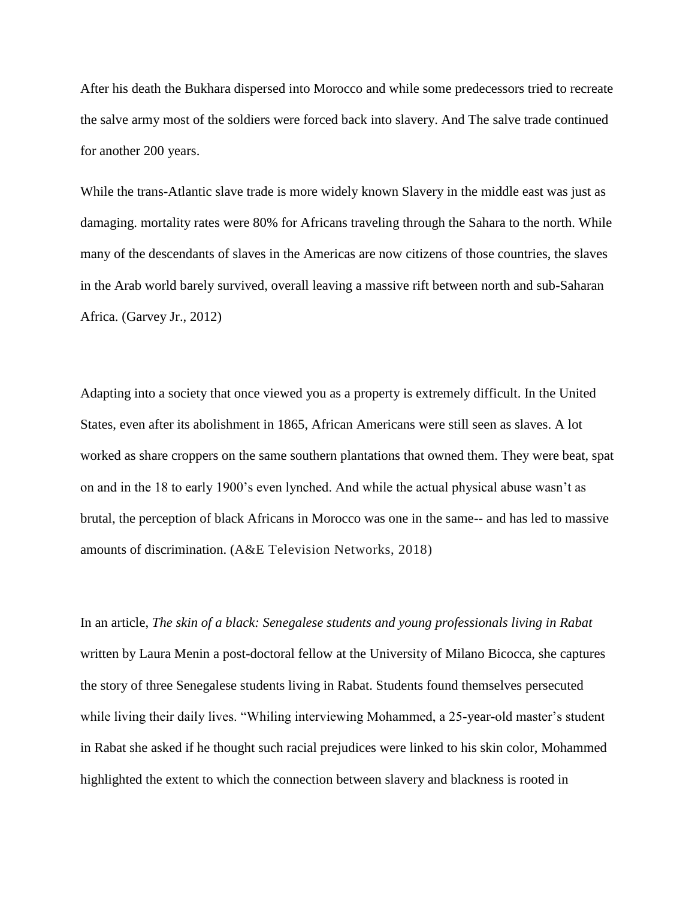After his death the Bukhara dispersed into Morocco and while some predecessors tried to recreate the salve army most of the soldiers were forced back into slavery. And The salve trade continued for another 200 years.

While the trans-Atlantic slave trade is more widely known Slavery in the middle east was just as damaging. mortality rates were 80% for Africans traveling through the Sahara to the north. While many of the descendants of slaves in the Americas are now citizens of those countries, the slaves in the Arab world barely survived, overall leaving a massive rift between north and sub-Saharan Africa. (Garvey Jr., 2012)

Adapting into a society that once viewed you as a property is extremely difficult. In the United States, even after its abolishment in 1865, African Americans were still seen as slaves. A lot worked as share croppers on the same southern plantations that owned them. They were beat, spat on and in the 18 to early 1900's even lynched. And while the actual physical abuse wasn't as brutal, the perception of black Africans in Morocco was one in the same-- and has led to massive amounts of discrimination. (A&E Television Networks, 2018)

In an article, *The skin of a black: Senegalese students and young professionals living in Rabat* written by Laura Menin a post-doctoral fellow at the University of Milano Bicocca, she captures the story of three Senegalese students living in Rabat. Students found themselves persecuted while living their daily lives. "Whiling interviewing Mohammed, a 25-year-old master's student in Rabat she asked if he thought such racial prejudices were linked to his skin color, Mohammed highlighted the extent to which the connection between slavery and blackness is rooted in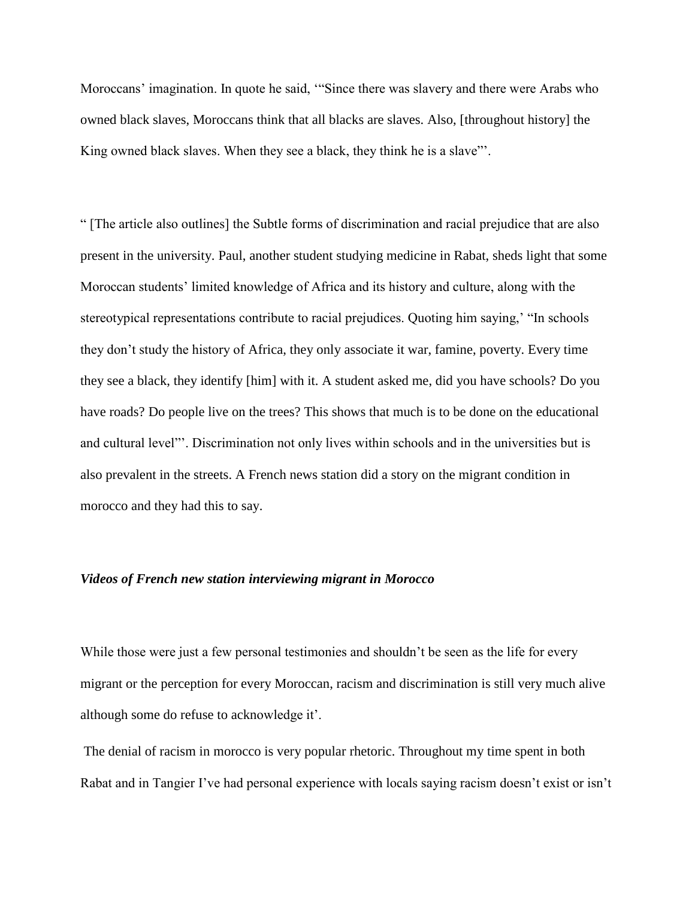Moroccans' imagination. In quote he said, '"Since there was slavery and there were Arabs who owned black slaves, Moroccans think that all blacks are slaves. Also, [throughout history] the King owned black slaves. When they see a black, they think he is a slave"'.

" [The article also outlines] the Subtle forms of discrimination and racial prejudice that are also present in the university. Paul, another student studying medicine in Rabat, sheds light that some Moroccan students' limited knowledge of Africa and its history and culture, along with the stereotypical representations contribute to racial prejudices. Quoting him saying,' "In schools they don't study the history of Africa, they only associate it war, famine, poverty. Every time they see a black, they identify [him] with it. A student asked me, did you have schools? Do you have roads? Do people live on the trees? This shows that much is to be done on the educational and cultural level"'. Discrimination not only lives within schools and in the universities but is also prevalent in the streets. A French news station did a story on the migrant condition in morocco and they had this to say.

## *Videos of French new station interviewing migrant in Morocco*

While those were just a few personal testimonies and shouldn't be seen as the life for every migrant or the perception for every Moroccan, racism and discrimination is still very much alive although some do refuse to acknowledge it'.

The denial of racism in morocco is very popular rhetoric. Throughout my time spent in both Rabat and in Tangier I've had personal experience with locals saying racism doesn't exist or isn't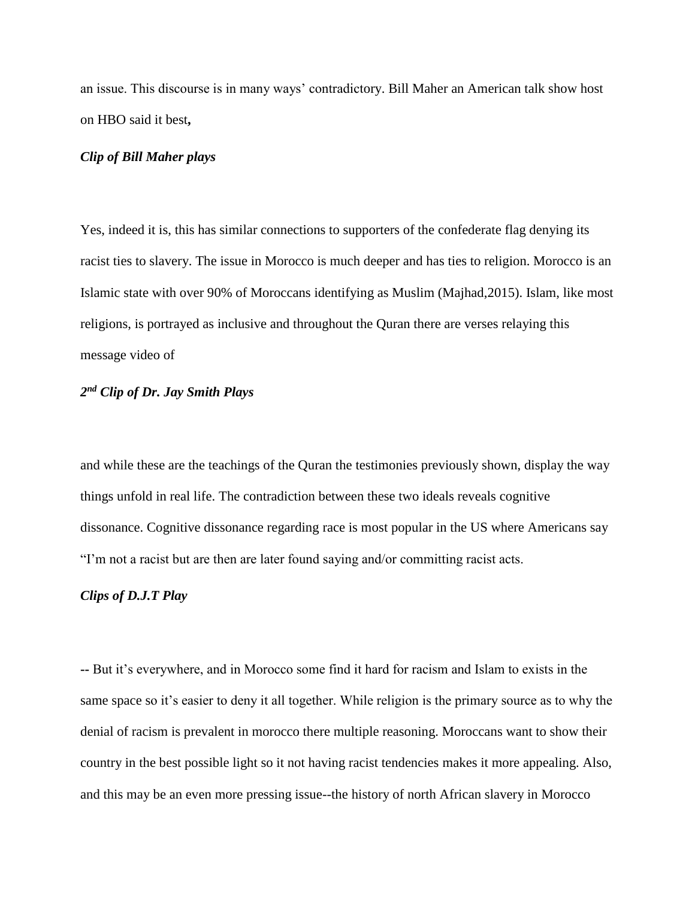an issue. This discourse is in many ways' contradictory. Bill Maher an American talk show host on HBO said it best**,** 

# *Clip of Bill Maher plays*

Yes, indeed it is, this has similar connections to supporters of the confederate flag denying its racist ties to slavery. The issue in Morocco is much deeper and has ties to religion. Morocco is an Islamic state with over 90% of Moroccans identifying as Muslim (Majhad,2015). Islam, like most religions, is portrayed as inclusive and throughout the Quran there are verses relaying this message video of

# *2 nd Clip of Dr. Jay Smith Plays*

and while these are the teachings of the Quran the testimonies previously shown, display the way things unfold in real life. The contradiction between these two ideals reveals cognitive dissonance. Cognitive dissonance regarding race is most popular in the US where Americans say "I'm not a racist but are then are later found saying and/or committing racist acts.

## *Clips of D.J.T Play*

**--** But it's everywhere, and in Morocco some find it hard for racism and Islam to exists in the same space so it's easier to deny it all together. While religion is the primary source as to why the denial of racism is prevalent in morocco there multiple reasoning. Moroccans want to show their country in the best possible light so it not having racist tendencies makes it more appealing. Also, and this may be an even more pressing issue--the history of north African slavery in Morocco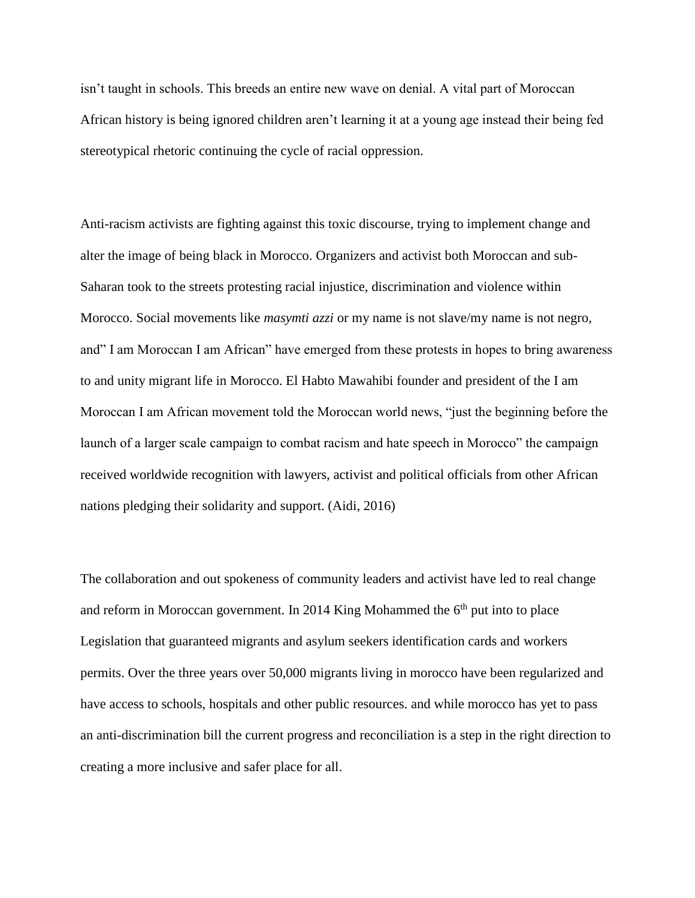isn't taught in schools. This breeds an entire new wave on denial. A vital part of Moroccan African history is being ignored children aren't learning it at a young age instead their being fed stereotypical rhetoric continuing the cycle of racial oppression.

Anti-racism activists are fighting against this toxic discourse, trying to implement change and alter the image of being black in Morocco. Organizers and activist both Moroccan and sub-Saharan took to the streets protesting racial injustice, discrimination and violence within Morocco. Social movements like *masymti azzi* or my name is not slave/my name is not negro, and" I am Moroccan I am African" have emerged from these protests in hopes to bring awareness to and unity migrant life in Morocco. El Habto Mawahibi founder and president of the I am Moroccan I am African movement told the Moroccan world news, "just the beginning before the launch of a larger scale campaign to combat racism and hate speech in Morocco" the campaign received worldwide recognition with lawyers, activist and political officials from other African nations pledging their solidarity and support. (Aidi, 2016)

The collaboration and out spokeness of community leaders and activist have led to real change and reform in Moroccan government. In 2014 King Mohammed the  $6<sup>th</sup>$  put into to place Legislation that guaranteed migrants and asylum seekers identification cards and workers permits. Over the three years over 50,000 migrants living in morocco have been regularized and have access to schools, hospitals and other public resources. and while morocco has yet to pass an anti-discrimination bill the current progress and reconciliation is a step in the right direction to creating a more inclusive and safer place for all.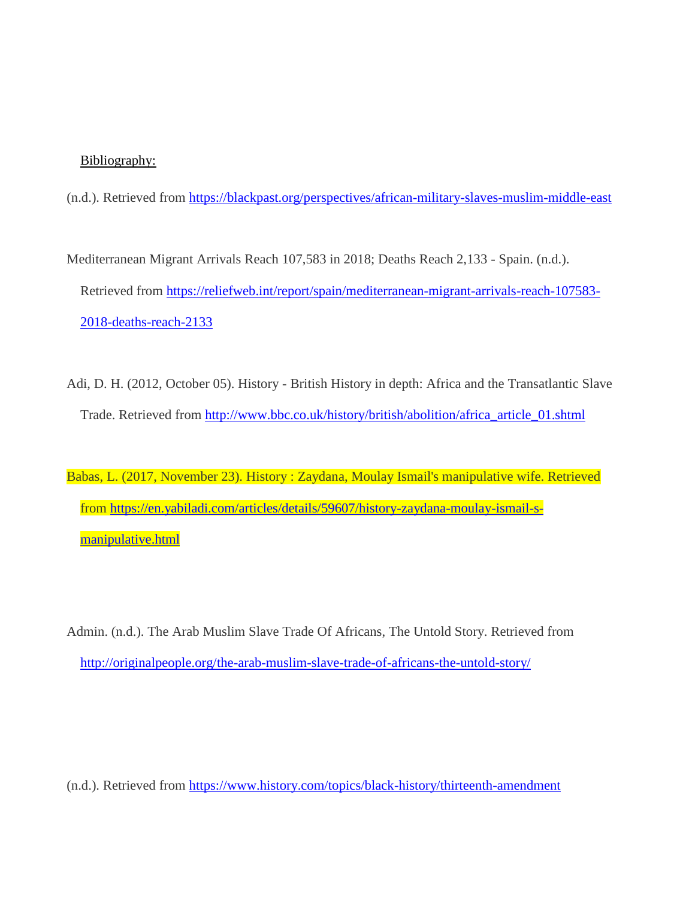# Bibliography:

(n.d.). Retrieved from<https://blackpast.org/perspectives/african-military-slaves-muslim-middle-east>

Mediterranean Migrant Arrivals Reach 107,583 in 2018; Deaths Reach 2,133 - Spain. (n.d.). Retrieved from [https://reliefweb.int/report/spain/mediterranean-migrant-arrivals-reach-107583-](https://reliefweb.int/report/spain/mediterranean-migrant-arrivals-reach-107583-2018-deaths-reach-2133) [2018-deaths-reach-2133](https://reliefweb.int/report/spain/mediterranean-migrant-arrivals-reach-107583-2018-deaths-reach-2133)

Adi, D. H. (2012, October 05). History - British History in depth: Africa and the Transatlantic Slave Trade. Retrieved from [http://www.bbc.co.uk/history/british/abolition/africa\\_article\\_01.shtml](http://www.bbc.co.uk/history/british/abolition/africa_article_01.shtml)

Babas, L. (2017, November 23). History : Zaydana, Moulay Ismail's manipulative wife. Retrieved from [https://en.yabiladi.com/articles/details/59607/history-zaydana-moulay-ismail-s](https://en.yabiladi.com/articles/details/59607/history-zaydana-moulay-ismail-s-manipulative.html)[manipulative.html](https://en.yabiladi.com/articles/details/59607/history-zaydana-moulay-ismail-s-manipulative.html)

Admin. (n.d.). The Arab Muslim Slave Trade Of Africans, The Untold Story. Retrieved from <http://originalpeople.org/the-arab-muslim-slave-trade-of-africans-the-untold-story/>

(n.d.). Retrieved from<https://www.history.com/topics/black-history/thirteenth-amendment>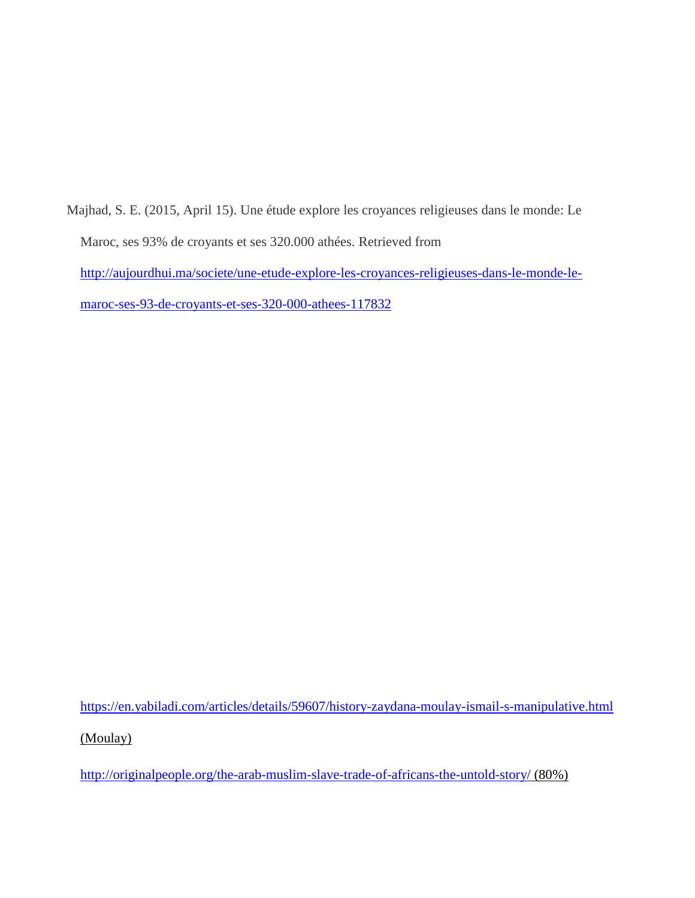Majhad, S. E. (2015, April 15). Une étude explore les croyances religieuses dans le monde: Le Maroc, ses 93% de croyants et ses 320.000 athées. Retrieved from [http://aujourdhui.ma/societe/une-etude-explore-les-croyances-religieuses-dans-le-monde-le](http://aujourdhui.ma/societe/une-etude-explore-les-croyances-religieuses-dans-le-monde-le-maroc-ses-93-de-croyants-et-ses-320-000-athees-117832)[maroc-ses-93-de-croyants-et-ses-320-000-athees-117832](http://aujourdhui.ma/societe/une-etude-explore-les-croyances-religieuses-dans-le-monde-le-maroc-ses-93-de-croyants-et-ses-320-000-athees-117832)

<https://en.yabiladi.com/articles/details/59607/history-zaydana-moulay-ismail-s-manipulative.html>

(Moulay)

<http://originalpeople.org/the-arab-muslim-slave-trade-of-africans-the-untold-story/> (80%)